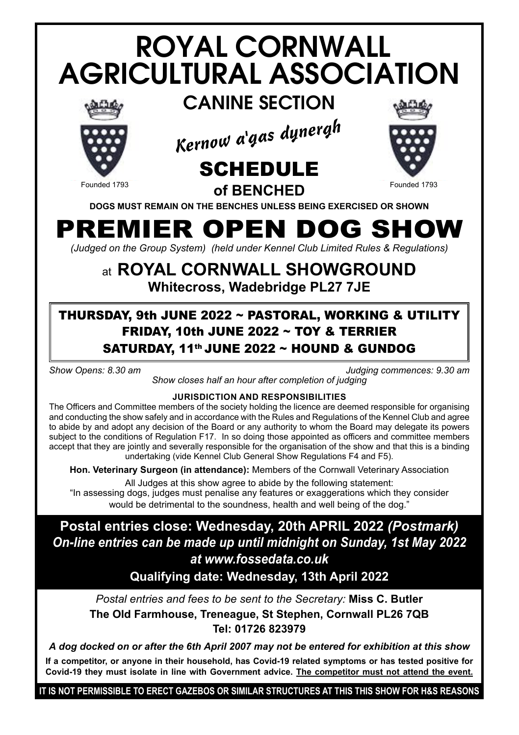# ROYAL CORNWALL AGRICULTURAL ASSOCIATION



CANINE SECTION







Founded 1793 **COMPRETER COMPRETE SUBSET TO A Founded 1793 DOGS MUST REMAIN ON THE BENCHES UNLESS BEING EXERCISED OR SHOWN**

## PREMIER OPEN DOG SHOW

*(Judged on the Group System) (held under Kennel Club Limited Rules & Regulations)*

### at **ROYAL CORNWALL SHOWGROUND Whitecross, Wadebridge PL27 7JE**

### THURSDAY, 9th JUNE 2022 ~ PASTORAL, WORKING & UTILITY FRIDAY, 10th JUNE 2022 ~ TOY & TERRIER SATURDAY, 11<sup>th</sup> JUNE 2022 ~ HOUND & GUNDOG

*Show Opens: 8.30 am Judging commences: 9.30 am*

*Show closes half an hour after completion of judging*

#### **JURISDICTION AND RESPONSIBILITIES**

The Officers and Committee members of the society holding the licence are deemed responsible for organising and conducting the show safely and in accordance with the Rules and Regulations of the Kennel Club and agree to abide by and adopt any decision of the Board or any authority to whom the Board may delegate its powers subject to the conditions of Regulation F17. In so doing those appointed as officers and committee members accept that they are jointly and severally responsible for the organisation of the show and that this is a binding undertaking (vide Kennel Club General Show Regulations F4 and F5).

**Hon. Veterinary Surgeon (in attendance):** Members of the Cornwall Veterinary Association

All Judges at this show agree to abide by the following statement:

"In assessing dogs, judges must penalise any features or exaggerations which they consider would be detrimental to the soundness, health and well being of the dog."

### **Postal entries close: Wednesday, 20th APRIL 2022** *(Postmark) On-line entries can be made up until midnight on Sunday, 1st May 2022 at www.fossedata.co.uk*

**Qualifying date: Wednesday, 13th April 2022**

*Postal entries and fees to be sent to the Secretary:* **Miss C. Butler The Old Farmhouse, Treneague, St Stephen, Cornwall PL26 7QB Tel: 01726 823979**

*A dog docked on or after the 6th April 2007 may not be entered for exhibition at this show*

**If a competitor, or anyone in their household, has Covid-19 related symptoms or has tested positive for Covid-19 they must isolate in line with Government advice. The competitor must not attend the event.**

**IT IS NOT PERMISSIBLE TO ERECT GAZEBOS OR SIMILAR STRUCTURES AT THIS THIS SHOW FOR H&S REASONS**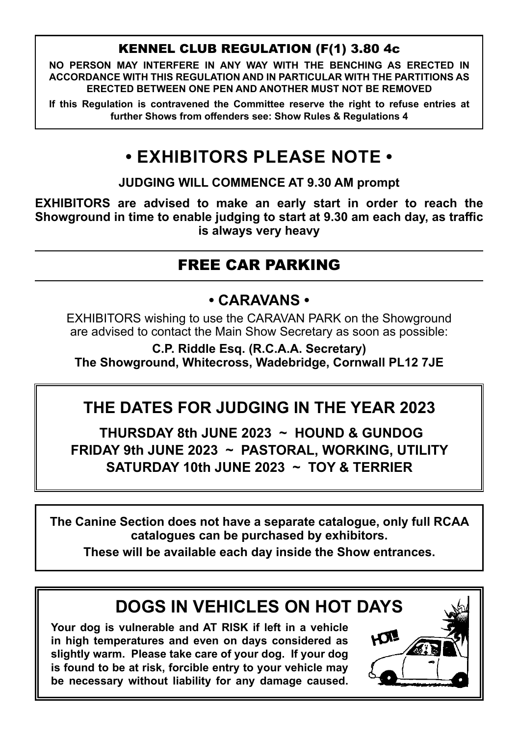#### KENNEL CLUB REGULATION (F(1) 3.80 4c

**NO PERSON MAY INTERFERE IN ANY WAY WITH THE BENCHING AS ERECTED IN ACCORDANCE WITH THIS REGULATION AND IN PARTICULAR WITH THE PARTITIONS AS ERECTED BETWEEN ONE PEN AND ANOTHER MUST NOT BE REMOVED**

**If this Regulation is contravened the Committee reserve the right to refuse entries at further Shows from offenders see: Show Rules & Regulations 4**

### **• EXHIBITORS PLEASE NOTE •**

**JUDGING WILL COMMENCE AT 9.30 AM prompt**

**EXHIBITORS are advised to make an early start in order to reach the Showground in time to enable judging to start at 9.30 am each day, as traffic is always very heavy**

### FREE CAR PARKING

### **• CARAVANS •**

EXHIBITORS wishing to use the CARAVAN PARK on the Showground are advised to contact the Main Show Secretary as soon as possible:

**C.P. Riddle Esq. (R.C.A.A. Secretary) The Showground, Whitecross, Wadebridge, Cornwall PL12 7JE**

## THE DATES FOR JUDGING IN THE YEAR 2023

**THURSDAY 8th JUNE 2023 ~ HOUND & GUNDOG** FRIDAY 9th JUNE 2023 ~ PASTORAL, WORKING, UTILITY SATURDAY 10th JUNE 2023 ~ TOY & TERRIER **PAT SUI UUIL 2020 TAUTUMAL** 

**The Canine Section does not have a separate catalogue, only full RCAA catalogues can be purchased by exhibitors.**

**These will be available each day inside the Show entrances.**

### **DOGS IN VEHICLES ON HOT DAYS**

**Your dog is vulnerable and AT RISK if left in a vehicle in high temperatures and even on days considered as slightly warm. Please take care of your dog. If your dog is found to be at risk, forcible entry to your vehicle may be necessary without liability for any damage caused.**

**your dog is found to be at risk, forcible entry to your vehicle may be necessary** 

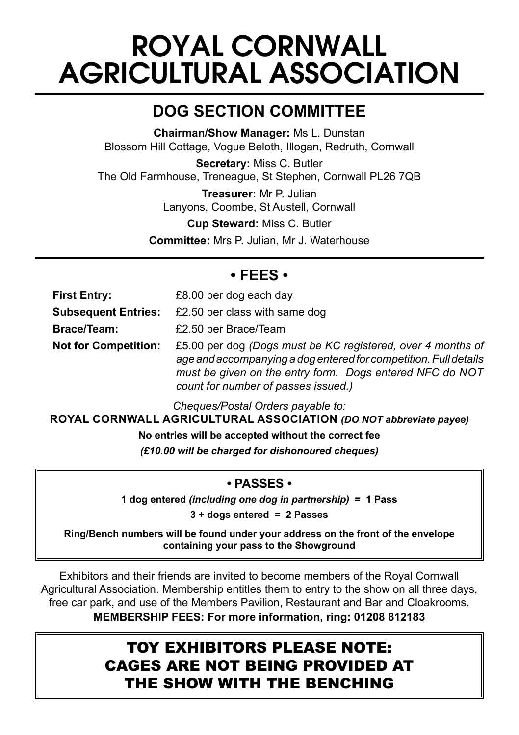## ROYAL CORNWALL AGRICULTURAL ASSOCIATION

### **DOG SECTION COMMITTEE**

**Chairman/Show Manager:** Ms L. Dunstan Blossom Hill Cottage, Vogue Beloth, Illogan, Redruth, Cornwall

**Secretary:** Miss C. Butler The Old Farmhouse, Treneague, St Stephen, Cornwall PL26 7QB

> **Treasurer:** Mr P. Julian Lanyons, Coombe, St Austell, Cornwall

> > **Cup Steward:** Miss C. Butler

**Committee:** Mrs P. Julian, Mr J. Waterhouse

#### **• FEES •**

| <b>First Entry:</b>         | £8.00 per dog each day                                                                                                                                                                                                             |
|-----------------------------|------------------------------------------------------------------------------------------------------------------------------------------------------------------------------------------------------------------------------------|
| <b>Subsequent Entries:</b>  | £2.50 per class with same dog                                                                                                                                                                                                      |
| <b>Brace/Team:</b>          | £2.50 per Brace/Team                                                                                                                                                                                                               |
| <b>Not for Competition:</b> | £5.00 per dog (Dogs must be KC registered, over 4 months of<br>age and accompanying a dog entered for competition. Full details<br>must be given on the entry form. Dogs entered NFC do NOT<br>count for number of passes issued.) |

*Cheques/Postal Orders payable to:*

**ROYAL CORNWALL AGRICULTURAL ASSOCIATION** *(DO NOT abbreviate payee)*

**No entries will be accepted without the correct fee**

*(£10.00 will be charged for dishonoured cheques)*

#### **• PASSES •**

**1 dog entered** *(including one dog in partnership)* **= 1 Pass**

**3 + dogs entered = 2 Passes**

**Ring/Bench numbers will be found under your address on the front of the envelope containing your pass to the Showground**

Exhibitors and their friends are invited to become members of the Royal Cornwall Agricultural Association. Membership entitles them to entry to the show on all three days, free car park, and use of the Members Pavilion, Restaurant and Bar and Cloakrooms. **MEMBERSHIP FEES: For more information, ring: 01208 812183**

### TOY EXHIBITORS PLEASE NOTE: CAGES ARE NOT BEING PROVIDED AT THE SHOW WITH THE BENCHING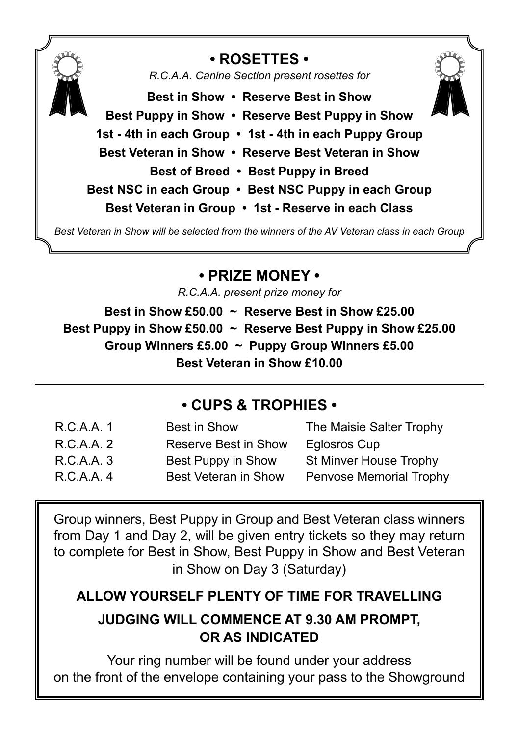

### **• ROSETTES •**

*R.C.A.A. Canine Section present rosettes for*



**Best in Show • Reserve Best in Show Best Puppy in Show • Reserve Best Puppy in Show 1st - 4th in each Group • 1st - 4th in each Puppy Group Best Veteran in Show • Reserve Best Veteran in Show Best of Breed • Best Puppy in Breed Best NSC in each Group • Best NSC Puppy in each Group Best Veteran in Group • 1st - Reserve in each Class**

*Best Veteran in Show will be selected from the winners of the AV Veteran class in each Group*

### **• PRIZE MONEY •**

*R.C.A.A. present prize money for*

**Best in Show £50.00 ~ Reserve Best in Show £25.00 Best Puppy in Show £50.00 ~ Reserve Best Puppy in Show £25.00 Group Winners £5.00 ~ Puppy Group Winners £5.00 Best Veteran in Show £10.00**

### **• CUPS & TROPHIES •**

| R.C.A.A. 1 | Best in Show         | The Maisie Salter Trophy |
|------------|----------------------|--------------------------|
| R.C.A.A. 2 | Reserve Best in Show | Eglosros Cup             |
| R.C.A.A. 3 | Best Puppy in Show   | St Minver House Trophy   |
| R.C.A.A. 4 | Best Veteran in Show | Penvose Memorial Trophy  |

Group winners, Best Puppy in Group and Best Veteran class winners from Day 1 and Day 2, will be given entry tickets so they may return to complete for Best in Show, Best Puppy in Show and Best Veteran in Show on Day 3 (Saturday)

### **ALLOW YOURSELF PLENTY OF TIME FOR TRAVELLING**

### **JUDGING WILL COMMENCE AT 9.30 AM PROMPT, OR AS INDICATED**

Your ring number will be found under your address on the front of the envelope containing your pass to the Showground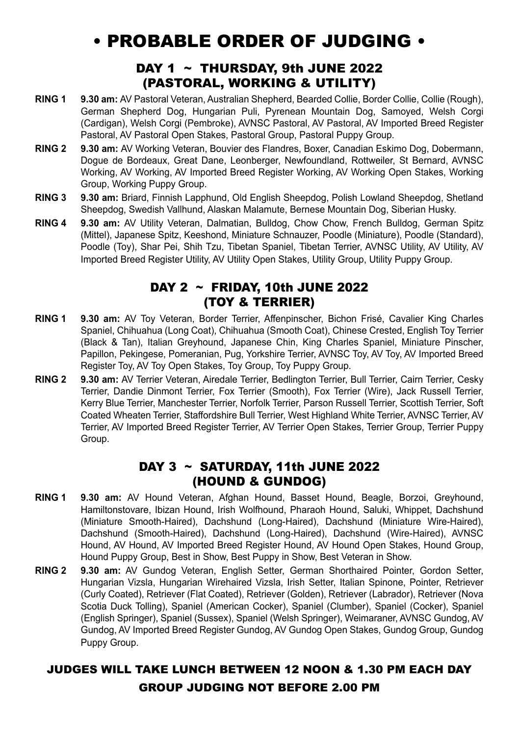### • PROBABLE ORDER OF JUDGING •

#### DAY 1  $\sim$  THURSDAY, 9th JUNE 2022 (PASTORAL, WORKING & UTILITY)

- **RING 1 9.30 am:** AV Pastoral Veteran, Australian Shepherd, Bearded Collie, Border Collie, Collie (Rough), German Shepherd Dog, Hungarian Puli, Pyrenean Mountain Dog, Samoyed, Welsh Corgi (Cardigan), Welsh Corgi (Pembroke), AVNSC Pastoral, AV Pastoral, AV Imported Breed Register Pastoral, AV Pastoral Open Stakes, Pastoral Group, Pastoral Puppy Group.
- **RING 2 9.30 am:** AV Working Veteran, Bouvier des Flandres, Boxer, Canadian Eskimo Dog, Dobermann, Dogue de Bordeaux, Great Dane, Leonberger, Newfoundland, Rottweiler, St Bernard, AVNSC Working, AV Working, AV Imported Breed Register Working, AV Working Open Stakes, Working Group, Working Puppy Group.
- **RING 3 9.30 am:** Briard, Finnish Lapphund, Old English Sheepdog, Polish Lowland Sheepdog, Shetland Sheepdog, Swedish Vallhund, Alaskan Malamute, Bernese Mountain Dog, Siberian Husky.
- **RING 4 9.30 am:** AV Utility Veteran, Dalmatian, Bulldog, Chow Chow, French Bulldog, German Spitz (Mittel), Japanese Spitz, Keeshond, Miniature Schnauzer, Poodle (Miniature), Poodle (Standard), Poodle (Toy), Shar Pei, Shih Tzu, Tibetan Spaniel, Tibetan Terrier, AVNSC Utility, AV Utility, AV Imported Breed Register Utility, AV Utility Open Stakes, Utility Group, Utility Puppy Group.

#### DAY 2 ~ FRIDAY, 10th JUNE 2022 (TOY & TERRIER)

- **RING 1 9.30 am:** AV Toy Veteran, Border Terrier, Affenpinscher, Bichon Frisé, Cavalier King Charles Spaniel, Chihuahua (Long Coat), Chihuahua (Smooth Coat), Chinese Crested, English Toy Terrier (Black & Tan), Italian Greyhound, Japanese Chin, King Charles Spaniel, Miniature Pinscher, Papillon, Pekingese, Pomeranian, Pug, Yorkshire Terrier, AVNSC Toy, AV Toy, AV Imported Breed Register Toy, AV Toy Open Stakes, Toy Group, Toy Puppy Group.
- **RING 2 9.30 am:** AV Terrier Veteran, Airedale Terrier, Bedlington Terrier, Bull Terrier, Cairn Terrier, Cesky Terrier, Dandie Dinmont Terrier, Fox Terrier (Smooth), Fox Terrier (Wire), Jack Russell Terrier, Kerry Blue Terrier, Manchester Terrier, Norfolk Terrier, Parson Russell Terrier, Scottish Terrier, Soft Coated Wheaten Terrier, Staffordshire Bull Terrier, West Highland White Terrier, AVNSC Terrier, AV Terrier, AV Imported Breed Register Terrier, AV Terrier Open Stakes, Terrier Group, Terrier Puppy Group.

#### DAY  $3 \sim$  SATURDAY, 11th JUNE 2022 (HOUND & GUNDOG)

- **RING 1 9.30 am:** AV Hound Veteran, Afghan Hound, Basset Hound, Beagle, Borzoi, Greyhound, Hamiltonstovare, Ibizan Hound, Irish Wolfhound, Pharaoh Hound, Saluki, Whippet, Dachshund (Miniature Smooth-Haired), Dachshund (Long-Haired), Dachshund (Miniature Wire-Haired), Dachshund (Smooth-Haired), Dachshund (Long-Haired), Dachshund (Wire-Haired), AVNSC Hound, AV Hound, AV Imported Breed Register Hound, AV Hound Open Stakes, Hound Group, Hound Puppy Group, Best in Show, Best Puppy in Show, Best Veteran in Show.
- **RING 2 9.30 am:** AV Gundog Veteran, English Setter, German Shorthaired Pointer, Gordon Setter, Hungarian Vizsla, Hungarian Wirehaired Vizsla, Irish Setter, Italian Spinone, Pointer, Retriever (Curly Coated), Retriever (Flat Coated), Retriever (Golden), Retriever (Labrador), Retriever (Nova Scotia Duck Tolling), Spaniel (American Cocker), Spaniel (Clumber), Spaniel (Cocker), Spaniel (English Springer), Spaniel (Sussex), Spaniel (Welsh Springer), Weimaraner, AVNSC Gundog, AV Gundog, AV Imported Breed Register Gundog, AV Gundog Open Stakes, Gundog Group, Gundog Puppy Group.

#### JUDGES WILL TAKE LUNCH BETWEEN 12 NOON & 1.30 PM EACH DAY GROUP JUDGING NOT BEFORE 2.00 PM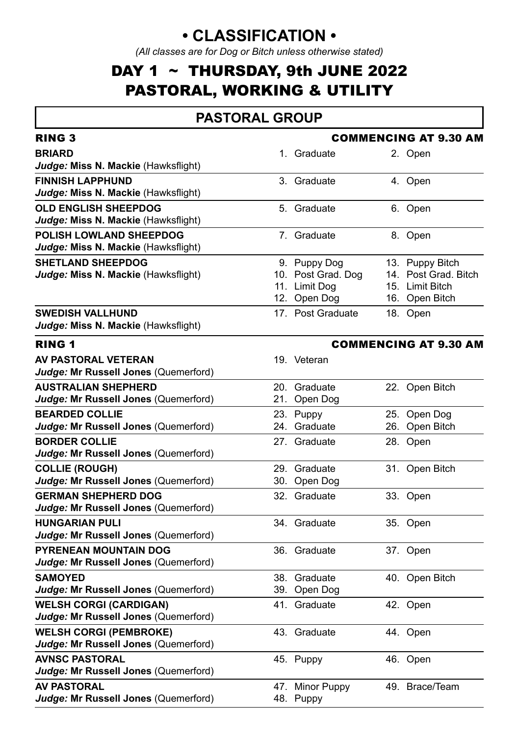### **• CLASSIFICATION •**

*(All classes are for Dog or Bitch unless otherwise stated)*

### DAY 1  $\sim$  THURSDAY, 9th JUNE 2022 PASTORAL, WORKING & UTILITY

#### **PASTORAL GROUP**

| <b>RING 3</b>                                                         |                                                                     | <b>COMMENCING AT 9.30 AM</b>                                                 |
|-----------------------------------------------------------------------|---------------------------------------------------------------------|------------------------------------------------------------------------------|
| <b>BRIARD</b><br>Judge: Miss N. Mackie (Hawksflight)                  | 1. Graduate                                                         | 2. Open                                                                      |
| <b>FINNISH LAPPHUND</b><br>Judge: Miss N. Mackie (Hawksflight)        | 3. Graduate                                                         | 4. Open                                                                      |
| <b>OLD ENGLISH SHEEPDOG</b><br>Judge: Miss N. Mackie (Hawksflight)    | 5. Graduate                                                         | 6. Open                                                                      |
| POLISH LOWLAND SHEEPDOG<br>Judge: Miss N. Mackie (Hawksflight)        | 7. Graduate                                                         | 8. Open                                                                      |
| <b>SHETLAND SHEEPDOG</b><br>Judge: Miss N. Mackie (Hawksflight)       | 9. Puppy Dog<br>10. Post Grad. Dog<br>11. Limit Dog<br>12. Open Dog | 13. Puppy Bitch<br>14. Post Grad, Bitch<br>15. Limit Bitch<br>16. Open Bitch |
| <b>SWEDISH VALLHUND</b><br>Judge: Miss N. Mackie (Hawksflight)        | 17. Post Graduate                                                   | 18. Open                                                                     |
| <b>RING 1</b>                                                         |                                                                     | <b>COMMENCING AT 9.30 AM</b>                                                 |
| <b>AV PASTORAL VETERAN</b><br>Judge: Mr Russell Jones (Quemerford)    | 19. Veteran                                                         |                                                                              |
| <b>AUSTRALIAN SHEPHERD</b><br>Judge: Mr Russell Jones (Quemerford)    | 20. Graduate<br>21. Open Dog                                        | 22. Open Bitch                                                               |
| <b>BEARDED COLLIE</b><br>Judge: Mr Russell Jones (Quemerford)         | 23. Puppy<br>24. Graduate                                           | 25. Open Dog<br>26. Open Bitch                                               |
| <b>BORDER COLLIE</b><br>Judge: Mr Russell Jones (Quemerford)          | 27. Graduate                                                        | 28. Open                                                                     |
| <b>COLLIE (ROUGH)</b><br>Judge: Mr Russell Jones (Quemerford)         | 29. Graduate<br>30. Open Dog                                        | 31. Open Bitch                                                               |
| <b>GERMAN SHEPHERD DOG</b><br>Judge: Mr Russell Jones (Quemerford)    | 32. Graduate                                                        | 33. Open                                                                     |
| <b>HUNGARIAN PULI</b><br>Judge: Mr Russell Jones (Quemerford)         | 34. Graduate                                                        | 35. Open                                                                     |
| PYRENEAN MOUNTAIN DOG<br>Judge: Mr Russell Jones (Quemerford)         | 36. Graduate                                                        | 37. Open                                                                     |
| <b>SAMOYED</b><br>Judge: Mr Russell Jones (Quemerford)                | 38. Graduate<br>39. Open Dog                                        | 40. Open Bitch                                                               |
| <b>WELSH CORGI (CARDIGAN)</b><br>Judge: Mr Russell Jones (Quemerford) | 41. Graduate                                                        | 42. Open                                                                     |
| <b>WELSH CORGI (PEMBROKE)</b><br>Judge: Mr Russell Jones (Quemerford) | 43. Graduate                                                        | 44. Open                                                                     |
| <b>AVNSC PASTORAL</b><br>Judge: Mr Russell Jones (Quemerford)         | 45. Puppy                                                           | 46. Open                                                                     |
| <b>AV PASTORAL</b><br>Judge: Mr Russell Jones (Quemerford)            | 47. Minor Puppy<br>48. Puppy                                        | 49. Brace/Team                                                               |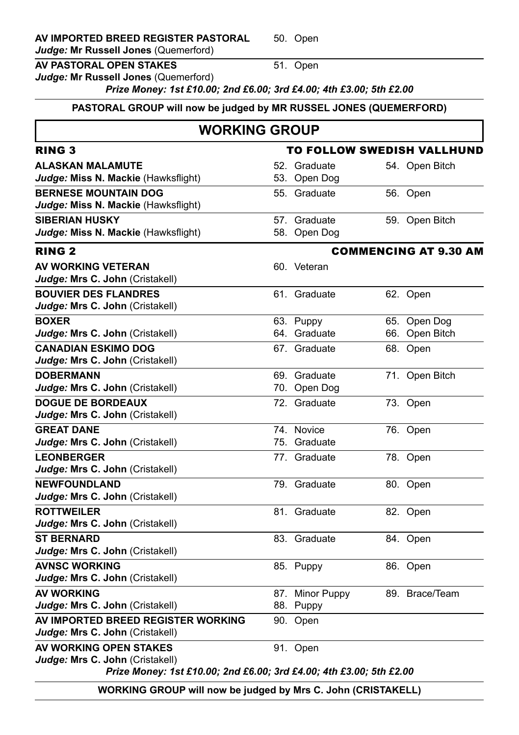*Judge:* **Mr Russell Jones** (Quemerford)

#### **AV PASTORAL OPEN STAKES** 51. Open

*Judge:* **Mr Russell Jones** (Quemerford)

*Prize Money: 1st £10.00; 2nd £6.00; 3rd £4.00; 4th £3.00; 5th £2.00*

#### **PASTORAL GROUP will now be judged by MR RUSSEL JONES (QUEMERFORD)**

#### **WORKING GROUP**

| <b>RING 3</b>                                                       | TO FOLLOW SWEDISH VALLHUND |                 |  |                              |
|---------------------------------------------------------------------|----------------------------|-----------------|--|------------------------------|
| <b>ALASKAN MALAMUTE</b>                                             |                            | 52. Graduate    |  | 54. Open Bitch               |
| Judge: Miss N. Mackie (Hawksflight)                                 |                            | 53. Open Dog    |  |                              |
| <b>BERNESE MOUNTAIN DOG</b>                                         |                            | 55. Graduate    |  | 56. Open                     |
| Judge: Miss N. Mackie (Hawksflight)                                 |                            |                 |  |                              |
| <b>SIBERIAN HUSKY</b>                                               |                            | 57. Graduate    |  | 59. Open Bitch               |
| Judge: Miss N. Mackie (Hawksflight)                                 |                            | 58. Open Dog    |  |                              |
| <b>RING 2</b>                                                       |                            |                 |  | <b>COMMENCING AT 9.30 AM</b> |
| AV WORKING VETERAN                                                  |                            | 60. Veteran     |  |                              |
| Judge: Mrs C. John (Cristakell)                                     |                            |                 |  |                              |
| <b>BOUVIER DES FLANDRES</b><br>Judge: Mrs C. John (Cristakell)      |                            | 61. Graduate    |  | 62. Open                     |
| <b>BOXER</b>                                                        |                            | 63. Puppy       |  | 65. Open Dog                 |
| Judge: Mrs C. John (Cristakell)                                     |                            | 64. Graduate    |  | 66. Open Bitch               |
| <b>CANADIAN ESKIMO DOG</b>                                          |                            | 67. Graduate    |  | 68. Open                     |
| Judge: Mrs C. John (Cristakell)                                     |                            |                 |  |                              |
| <b>DOBERMANN</b>                                                    |                            | 69. Graduate    |  | 71. Open Bitch               |
| Judge: Mrs C. John (Cristakell)                                     |                            | 70. Open Dog    |  |                              |
| <b>DOGUE DE BORDEAUX</b>                                            |                            | 72. Graduate    |  | 73. Open                     |
| Judge: Mrs C. John (Cristakell)                                     |                            |                 |  |                              |
| <b>GREAT DANE</b>                                                   |                            | 74. Novice      |  | 76. Open                     |
| Judge: Mrs C. John (Cristakell)                                     |                            | 75. Graduate    |  |                              |
| <b>LEONBERGER</b>                                                   |                            | 77. Graduate    |  | 78. Open                     |
| Judge: Mrs C. John (Cristakell)                                     |                            |                 |  |                              |
| <b>NEWFOUNDLAND</b>                                                 |                            | 79. Graduate    |  | 80. Open                     |
| Judge: Mrs C. John (Cristakell)                                     |                            |                 |  |                              |
| <b>ROTTWEILER</b>                                                   |                            | 81. Graduate    |  | 82. Open                     |
| Judge: Mrs C. John (Cristakell)                                     |                            |                 |  |                              |
| <b>ST BERNARD</b><br>Judge: Mrs C. John (Cristakell)                |                            | 83. Graduate    |  | 84. Open                     |
| <b>AVNSC WORKING</b>                                                |                            |                 |  |                              |
| Judge: Mrs C. John (Cristakell)                                     |                            | 85. Puppy       |  | 86. Open                     |
| <b>AV WORKING</b>                                                   |                            | 87. Minor Puppy |  | 89. Brace/Team               |
| Judge: Mrs C. John (Cristakell)                                     |                            | 88. Puppy       |  |                              |
| AV IMPORTED BREED REGISTER WORKING                                  |                            | 90. Open        |  |                              |
| Judge: Mrs C. John (Cristakell)                                     |                            |                 |  |                              |
| AV WORKING OPEN STAKES                                              |                            | 91. Open        |  |                              |
| Judge: Mrs C. John (Cristakell)                                     |                            |                 |  |                              |
| Prize Money: 1st £10.00; 2nd £6.00; 3rd £4.00; 4th £3.00; 5th £2.00 |                            |                 |  |                              |

**WORKING GROUP will now be judged by Mrs C. John (CRISTAKELL)**

50. Open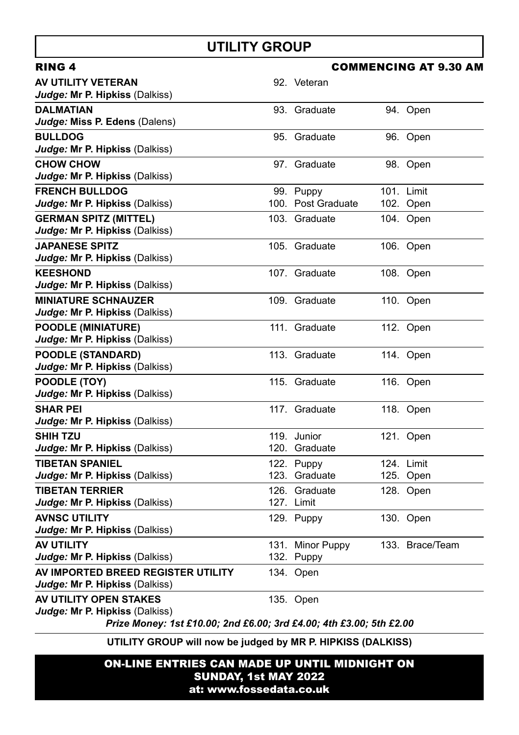### **UTILITY GROUP**

| RING 4                                                                                                                                 |                                 | <b>COMMENCING AT 9.30 AM</b> |
|----------------------------------------------------------------------------------------------------------------------------------------|---------------------------------|------------------------------|
| AV UTILITY VETERAN<br>Judge: Mr P. Hipkiss (Dalkiss)                                                                                   | 92. Veteran                     |                              |
| <b>DALMATIAN</b><br>Judge: Miss P. Edens (Dalens)                                                                                      | 93. Graduate                    | 94. Open                     |
| <b>BULLDOG</b><br>Judge: Mr P. Hipkiss (Dalkiss)                                                                                       | 95. Graduate                    | 96. Open                     |
| <b>CHOW CHOW</b><br>Judge: Mr P. Hipkiss (Dalkiss)                                                                                     | 97. Graduate                    | 98. Open                     |
| <b>FRENCH BULLDOG</b><br>Judge: Mr P. Hipkiss (Dalkiss)                                                                                | 99. Puppy<br>100. Post Graduate | 101. Limit<br>102. Open      |
| <b>GERMAN SPITZ (MITTEL)</b><br>Judge: Mr P. Hipkiss (Dalkiss)                                                                         | 103. Graduate                   | 104. Open                    |
| <b>JAPANESE SPITZ</b><br>Judge: Mr P. Hipkiss (Dalkiss)                                                                                | 105. Graduate                   | 106. Open                    |
| <b>KEESHOND</b><br>Judge: Mr P. Hipkiss (Dalkiss)                                                                                      | 107. Graduate                   | 108. Open                    |
| <b>MINIATURE SCHNAUZER</b><br>Judge: Mr P. Hipkiss (Dalkiss)                                                                           | 109. Graduate                   | 110. Open                    |
| <b>POODLE (MINIATURE)</b><br>Judge: Mr P. Hipkiss (Dalkiss)                                                                            | 111 Graduate                    | 112. Open                    |
| <b>POODLE (STANDARD)</b><br>Judge: Mr P. Hipkiss (Dalkiss)                                                                             | 113. Graduate                   | 114. Open                    |
| POODLE (TOY)<br>Judge: Mr P. Hipkiss (Dalkiss)                                                                                         | 115. Graduate                   | 116. Open                    |
| <b>SHAR PEI</b><br>Judge: Mr P. Hipkiss (Dalkiss)                                                                                      | 117. Graduate                   | 118. Open                    |
| <b>SHIH TZU</b><br>Judge: Mr P. Hipkiss (Dalkiss)                                                                                      | 119. Junior<br>120. Graduate    | 121. Open                    |
| <b>TIBETAN SPANIEL</b><br>Judge: Mr P. Hipkiss (Dalkiss)                                                                               | 122. Puppy<br>123. Graduate     | 124. Limit<br>125. Open      |
| <b>TIBETAN TERRIER</b><br>Judge: Mr P. Hipkiss (Dalkiss)                                                                               | 126. Graduate<br>127. Limit     | 128. Open                    |
| <b>AVNSC UTILITY</b><br>Judge: Mr P. Hipkiss (Dalkiss)                                                                                 | 129. Puppy                      | 130. Open                    |
| AV UTILITY<br>Judge: Mr P. Hipkiss (Dalkiss)                                                                                           | 131. Minor Puppy<br>132. Puppy  | 133. Brace/Team              |
| AV IMPORTED BREED REGISTER UTILITY<br>Judge: Mr P. Hipkiss (Dalkiss)                                                                   | 134. Open                       |                              |
| AV UTILITY OPEN STAKES<br><i>Judge:</i> Mr P. Hipkiss (Dalkiss)<br>Prize Money: 1st £10.00; 2nd £6.00; 3rd £4.00; 4th £3.00; 5th £2.00 | 135. Open                       |                              |

**UTILITY GROUP will now be judged by MR P. HIPKISS (DALKISS)**

ON-LINE ENTRIES CAN MADE UP UNTIL MIDNIGHT ON SUNDAY, 1st MAY 2022 at: www.fossedata.co.uk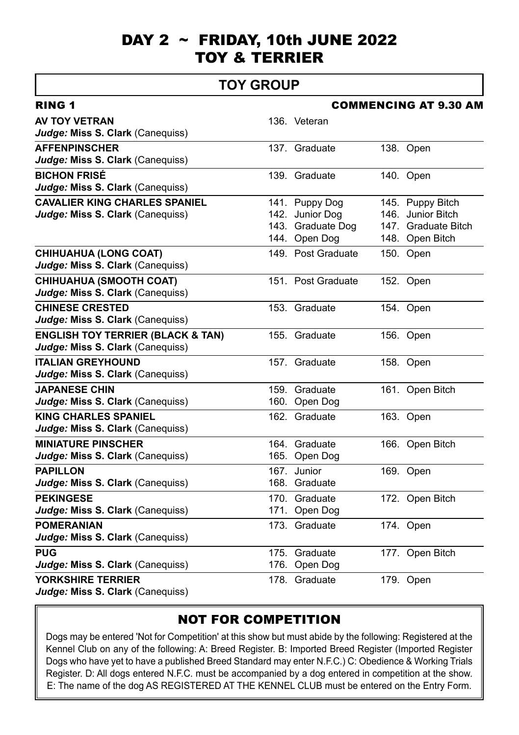### DAY 2  $\sim$  FRIDAY, 10th JUNE 2022 TOY & TERRIER

#### **TOY GROUP**

| <b>RING 1</b>                                |     | <b>COMMENCING AT 9.30 AM</b> |  |                     |  |
|----------------------------------------------|-----|------------------------------|--|---------------------|--|
| <b>AV TOY VETRAN</b>                         |     | 136. Veteran                 |  |                     |  |
| Judge: Miss S. Clark (Canequiss)             |     |                              |  |                     |  |
| <b>AFFENPINSCHER</b>                         |     | 137. Graduate                |  | 138. Open           |  |
| Judge: Miss S. Clark (Canequiss)             |     |                              |  |                     |  |
| <b>BICHON FRISÉ</b>                          |     | 139. Graduate                |  | 140. Open           |  |
| Judge: Miss S. Clark (Canequiss)             |     |                              |  |                     |  |
| <b>CAVALIER KING CHARLES SPANIEL</b>         |     | 141. Puppy Dog               |  | 145. Puppy Bitch    |  |
| Judge: Miss S. Clark (Canequiss)             |     | 142. Junior Dog              |  | 146. Junior Bitch   |  |
|                                              |     | 143. Graduate Dog            |  | 147. Graduate Bitch |  |
|                                              |     | 144. Open Dog                |  | 148. Open Bitch     |  |
| <b>CHIHUAHUA (LONG COAT)</b>                 |     | 149. Post Graduate           |  | 150. Open           |  |
| Judge: Miss S. Clark (Canequiss)             |     |                              |  |                     |  |
| <b>CHIHUAHUA (SMOOTH COAT)</b>               |     | 151. Post Graduate           |  | 152. Open           |  |
| Judge: Miss S. Clark (Canequiss)             |     |                              |  |                     |  |
| <b>CHINESE CRESTED</b>                       |     | 153. Graduate                |  | 154. Open           |  |
| Judge: Miss S. Clark (Canequiss)             |     |                              |  |                     |  |
| <b>ENGLISH TOY TERRIER (BLACK &amp; TAN)</b> |     | 155. Graduate                |  | 156. Open           |  |
| Judge: Miss S. Clark (Canequiss)             |     |                              |  |                     |  |
| <b>ITALIAN GREYHOUND</b>                     |     | 157. Graduate                |  | 158. Open           |  |
| Judge: Miss S. Clark (Canequiss)             |     |                              |  |                     |  |
| <b>JAPANESE CHIN</b>                         |     | 159. Graduate                |  | 161. Open Bitch     |  |
| Judge: Miss S. Clark (Canequiss)             |     | 160. Open Dog                |  |                     |  |
| <b>KING CHARLES SPANIEL</b>                  |     | 162. Graduate                |  | 163. Open           |  |
| Judge: Miss S. Clark (Canequiss)             |     |                              |  |                     |  |
| <b>MINIATURE PINSCHER</b>                    |     | 164 Graduate                 |  | 166. Open Bitch     |  |
| Judge: Miss S. Clark (Canequiss)             |     | 165. Open Dog                |  |                     |  |
| <b>PAPILLON</b>                              | 167 | Junior                       |  | 169. Open           |  |
| Judge: Miss S. Clark (Canequiss)             |     | 168. Graduate                |  |                     |  |
| <b>PEKINGESE</b>                             |     | 170. Graduate                |  | 172. Open Bitch     |  |
| Judge: Miss S. Clark (Canequiss)             |     | 171. Open Dog                |  |                     |  |
| <b>POMERANIAN</b>                            |     | 173. Graduate                |  | 174. Open           |  |
| Judge: Miss S. Clark (Canequiss)             |     |                              |  |                     |  |
| <b>PUG</b>                                   |     | 175. Graduate                |  | 177. Open Bitch     |  |
| Judge: Miss S. Clark (Canequiss)             |     | 176. Open Dog                |  |                     |  |
| <b>YORKSHIRE TERRIER</b>                     |     | 178. Graduate                |  | 179. Open           |  |
| Judge: Miss S. Clark (Canequiss)             |     |                              |  |                     |  |
|                                              |     |                              |  |                     |  |

#### NOT FOR COMPETITION

Dogs may be entered 'Not for Competition' at this show but must abide by the following: Registered at the Kennel Club on any of the following: A: Breed Register. B: Imported Breed Register (Imported Register Dogs who have yet to have a published Breed Standard may enter N.F.C.) C: Obedience & Working Trials Register. D: All dogs entered N.F.C. must be accompanied by a dog entered in competition at the show. E: The name of the dog AS REGISTERED AT THE KENNEL CLUB must be entered on the Entry Form.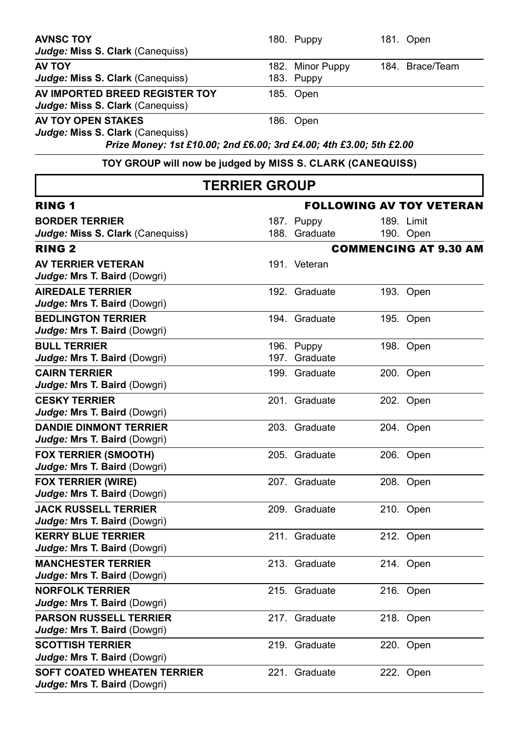| AVNSC TOY                                                           |                      | 180. Puppy       | 181. Open                       |
|---------------------------------------------------------------------|----------------------|------------------|---------------------------------|
| Judge: Miss S. Clark (Canequiss)                                    |                      |                  |                                 |
| <b>AV TOY</b>                                                       |                      | 182. Minor Puppy | 184. Brace/Team                 |
| Judge: Miss S. Clark (Canequiss)                                    |                      | 183. Puppy       |                                 |
| AV IMPORTED BREED REGISTER TOY                                      |                      | 185. Open        |                                 |
| Judge: Miss S. Clark (Canequiss)                                    |                      |                  |                                 |
| AV TOY OPEN STAKES                                                  |                      | 186. Open        |                                 |
| Judge: Miss S. Clark (Canequiss)                                    |                      |                  |                                 |
| Prize Money: 1st £10.00; 2nd £6.00; 3rd £4.00; 4th £3.00; 5th £2.00 |                      |                  |                                 |
| TOY GROUP will now be judged by MISS S. CLARK (CANEQUISS)           |                      |                  |                                 |
|                                                                     | <b>TERRIER GROUP</b> |                  |                                 |
| <b>RING 1</b>                                                       |                      |                  | <b>FOLLOWING AV TOY VETERAN</b> |
| <b>BORDER TERRIER</b>                                               |                      | 187. Puppy       | 189. Limit                      |
| Judge: Miss S. Clark (Canequiss)                                    |                      | 188. Graduate    | 190. Open                       |
| <b>RING 2</b>                                                       |                      |                  | <b>COMMENCING AT 9.30 AM</b>    |
| <b>AV TERRIER VETERAN</b>                                           |                      | 191. Veteran     |                                 |
| Judge: Mrs T. Baird (Dowgri)                                        |                      |                  |                                 |
| <b>AIREDALE TERRIER</b>                                             |                      | 192. Graduate    | 193. Open                       |
| Judge: Mrs T. Baird (Dowgri)                                        |                      |                  |                                 |
| <b>BEDLINGTON TERRIER</b>                                           |                      | 194. Graduate    | 195. Open                       |
| Judge: Mrs T. Baird (Dowgri)                                        |                      |                  |                                 |
| <b>BULL TERRIER</b>                                                 |                      | 196. Puppy       | 198. Open                       |
| Judge: Mrs T. Baird (Dowgri)                                        |                      | 197. Graduate    |                                 |
| <b>CAIRN TERRIER</b>                                                |                      | 199. Graduate    | 200. Open                       |
| Judge: Mrs T. Baird (Dowgri)                                        |                      |                  |                                 |
| <b>CESKY TERRIER</b>                                                |                      | 201. Graduate    | 202. Open                       |
| Judge: Mrs T. Baird (Dowgri)                                        |                      |                  |                                 |
| <b>DANDIE DINMONT TERRIER</b>                                       |                      | 203. Graduate    | 204. Open                       |
| Judge: Mrs T. Baird (Dowgri)                                        |                      |                  |                                 |
| <b>FOX TERRIER (SMOOTH)</b>                                         |                      | 205. Graduate    | 206. Open                       |
| Judge: Mrs T. Baird (Dowgri)                                        |                      |                  |                                 |
| <b>FOX TERRIER (WIRE)</b>                                           |                      | 207. Graduate    | 208. Open                       |
| Judge: Mrs T. Baird (Dowgri)                                        |                      |                  |                                 |
| <b>JACK RUSSELL TERRIER</b>                                         |                      | 209. Graduate    | 210. Open                       |
| Judge: Mrs T. Baird (Dowgri)                                        |                      |                  |                                 |
| <b>KERRY BLUE TERRIER</b>                                           |                      | 211. Graduate    | 212. Open                       |
| Judge: Mrs T. Baird (Dowgri)                                        |                      |                  |                                 |
| <b>MANCHESTER TERRIER</b>                                           |                      | 213. Graduate    | 214. Open                       |
| Judge: Mrs T. Baird (Dowgri)                                        |                      |                  |                                 |
| <b>NORFOLK TERRIER</b>                                              |                      | 215. Graduate    | 216. Open                       |
| Judge: Mrs T. Baird (Dowgri)                                        |                      |                  |                                 |
| <b>PARSON RUSSELL TERRIER</b>                                       |                      | 217. Graduate    | 218. Open                       |
| Judge: Mrs T. Baird (Dowgri)                                        |                      |                  |                                 |
| <b>SCOTTISH TERRIER</b>                                             |                      | 219. Graduate    | 220. Open                       |
| Judge: Mrs T. Baird (Dowgri)                                        |                      |                  |                                 |
| SOFT COATED WHEATEN TERRIER                                         |                      | 221. Graduate    | 222. Open                       |
| Judge: Mrs T. Baird (Dowgri)                                        |                      |                  |                                 |
|                                                                     |                      |                  |                                 |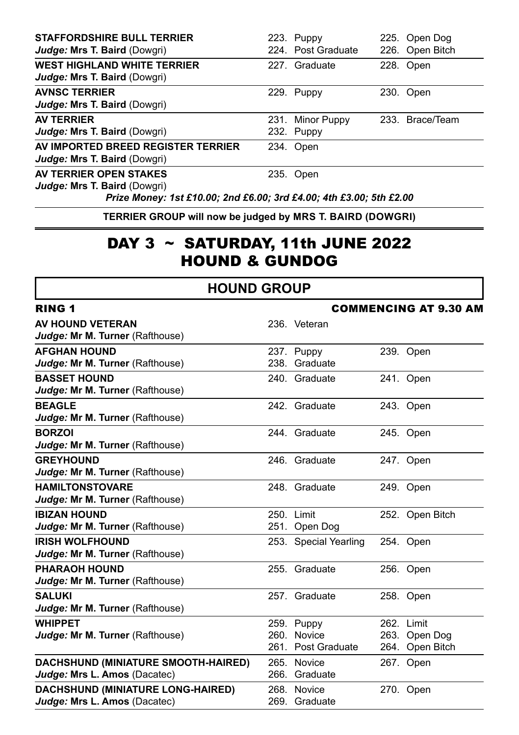| <b>STAFFORDSHIRE BULL TERRIER</b><br>Judge: Mrs T. Baird (Dowgri)  | 223. Puppy<br>224. Post Graduate | 225. Open Dog<br>226. Open Bitch |
|--------------------------------------------------------------------|----------------------------------|----------------------------------|
| <b>WEST HIGHLAND WHITE TERRIER</b><br>Judge: Mrs T. Baird (Dowgri) | 227. Graduate                    | 228. Open                        |
| <b>AVNSC TERRIER</b><br>Judge: Mrs T. Baird (Dowgri)               | 229. Puppy                       | 230. Open                        |
| <b>AV TERRIER</b><br>Judge: Mrs T. Baird (Dowgri)                  | 231. Minor Puppy<br>232. Puppy   | 233. Brace/Team                  |
| AV IMPORTED BREED REGISTER TERRIER<br>Judge: Mrs T. Baird (Dowgri) | 234. Open                        |                                  |
| AV TERRIER OPEN STAKES<br><b>Judge: Mrs T. Baird (Dowgri)</b>      | 235. Open                        |                                  |

*Prize Money: 1st £10.00; 2nd £6.00; 3rd £4.00; 4th £3.00; 5th £2.00*

**TERRIER GROUP will now be judged by MRS T. BAIRD (DOWGRI)**

### DAY  $3 \sim$  SATURDAY, 11th JUNE 2022 HOUND & GUNDOG

#### **HOUND GROUP**

| <b>RING 1</b>                              | <b>COMMENCING AT 9.30 AM</b> |                       |  |                 |
|--------------------------------------------|------------------------------|-----------------------|--|-----------------|
| <b>AV HOUND VETERAN</b>                    |                              | 236. Veteran          |  |                 |
| Judge: Mr M. Turner (Rafthouse)            |                              |                       |  |                 |
| <b>AFGHAN HOUND</b>                        |                              | 237. Puppy            |  | 239. Open       |
| Judge: Mr M. Turner (Rafthouse)            |                              | 238. Graduate         |  |                 |
| <b>BASSET HOUND</b>                        |                              | 240. Graduate         |  | 241. Open       |
| Judge: Mr M. Turner (Rafthouse)            |                              |                       |  |                 |
| <b>BEAGLE</b>                              |                              | 242. Graduate         |  | 243. Open       |
| Judge: Mr M. Turner (Rafthouse)            |                              |                       |  |                 |
| <b>BORZOI</b>                              |                              | 244. Graduate         |  | 245. Open       |
| Judge: Mr M. Turner (Rafthouse)            |                              |                       |  |                 |
| <b>GREYHOUND</b>                           |                              | 246. Graduate         |  | 247. Open       |
| Judge: Mr M. Turner (Rafthouse)            |                              |                       |  |                 |
| <b>HAMILTONSTOVARE</b>                     |                              | 248. Graduate         |  | 249. Open       |
| Judge: Mr M. Turner (Rafthouse)            |                              |                       |  |                 |
| <b>IBIZAN HOUND</b>                        |                              | 250. Limit            |  | 252. Open Bitch |
| Judge: Mr M. Turner (Rafthouse)            |                              | 251. Open Dog         |  |                 |
| <b>IRISH WOLFHOUND</b>                     |                              | 253. Special Yearling |  | 254. Open       |
| Judge: Mr M. Turner (Rafthouse)            |                              |                       |  |                 |
| <b>PHARAOH HOUND</b>                       |                              | 255. Graduate         |  | 256. Open       |
| Judge: Mr M. Turner (Rafthouse)            |                              |                       |  |                 |
| <b>SALUKI</b>                              |                              | 257. Graduate         |  | 258. Open       |
| Judge: Mr M. Turner (Rafthouse)            |                              |                       |  |                 |
| <b>WHIPPET</b>                             |                              | 259. Puppy            |  | 262. Limit      |
| Judge: Mr M. Turner (Rafthouse)            |                              | 260. Novice           |  | 263. Open Dog   |
|                                            |                              | 261. Post Graduate    |  | 264. Open Bitch |
| <b>DACHSHUND (MINIATURE SMOOTH-HAIRED)</b> |                              | 265. Novice           |  | 267. Open       |
| Judge: Mrs L. Amos (Dacatec)               |                              | 266. Graduate         |  |                 |
| <b>DACHSHUND (MINIATURE LONG-HAIRED)</b>   |                              | 268. Novice           |  | 270. Open       |
| Judge: Mrs L. Amos (Dacatec)               |                              | 269. Graduate         |  |                 |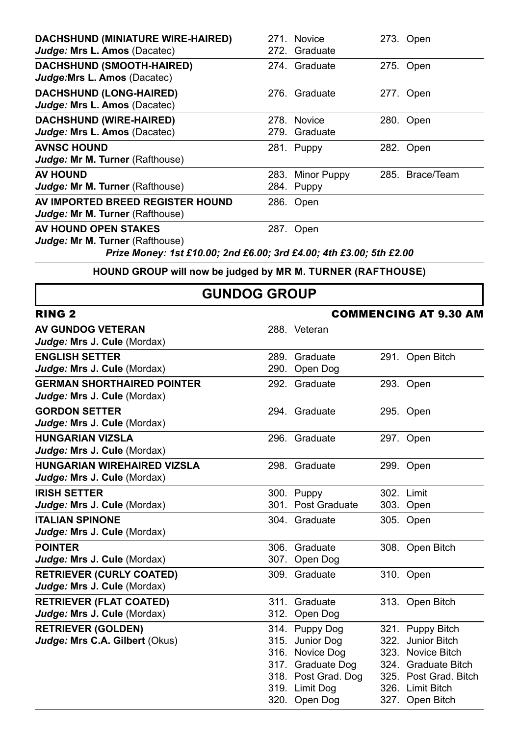| <b>DACHSHUND (MINIATURE WIRE-HAIRED)</b>                           | 271 Novice       | 273. Open       |
|--------------------------------------------------------------------|------------------|-----------------|
| Judge: Mrs L. Amos (Dacatec)                                       | 272. Graduate    |                 |
| <b>DACHSHUND (SMOOTH-HAIRED)</b>                                   | 274. Graduate    | 275. Open       |
| Judge: Mrs L. Amos (Dacatec)                                       |                  |                 |
| <b>DACHSHUND (LONG-HAIRED)</b>                                     | 276. Graduate    | 277. Open       |
| Judge: Mrs L. Amos (Dacatec)                                       |                  |                 |
| <b>DACHSHUND (WIRE-HAIRED)</b>                                     | 278. Novice      | 280. Open       |
| Judge: Mrs L. Amos (Dacatec)                                       | 279. Graduate    |                 |
| <b>AVNSC HOUND</b>                                                 | 281. Puppy       | 282. Open       |
| Judge: Mr M. Turner (Rafthouse)                                    |                  |                 |
| <b>AV HOUND</b>                                                    | 283. Minor Puppy | 285. Brace/Team |
| Judge: Mr M. Turner (Rafthouse)                                    | 284. Puppy       |                 |
| AV IMPORTED BREED REGISTER HOUND                                   | 286. Open        |                 |
| Judge: Mr M. Turner (Rafthouse)                                    |                  |                 |
| AV HOUND OPEN STAKES                                               | 287. Open        |                 |
| Judge: Mr M. Turner (Rafthouse)                                    |                  |                 |
| Driza Manow 1st 510 00: 2nd 56 00: 2rd 51 00: 1th 52 00: 5th 52 00 |                  |                 |

*Prize Money: 1st £10.00; 2nd £6.00; 3rd £4.00; 4th £3.00; 5th £2.00*

**HOUND GROUP will now be judged by MR M. TURNER (RAFTHOUSE)**

### **GUNDOG GROUP**

| <b>RING 2</b>                                                     | <b>COMMENCING AT 9.30 AM</b> |                                                                                                                                     |  |                                                                                                                                                   |
|-------------------------------------------------------------------|------------------------------|-------------------------------------------------------------------------------------------------------------------------------------|--|---------------------------------------------------------------------------------------------------------------------------------------------------|
| <b>AV GUNDOG VETERAN</b><br>Judge: Mrs J. Cule (Mordax)           |                              | 288. Veteran                                                                                                                        |  |                                                                                                                                                   |
| <b>ENGLISH SETTER</b><br>Judge: Mrs J. Cule (Mordax)              |                              | 289. Graduate<br>290. Open Dog                                                                                                      |  | 291. Open Bitch                                                                                                                                   |
| <b>GERMAN SHORTHAIRED POINTER</b><br>Judge: Mrs J. Cule (Mordax)  |                              | 292. Graduate                                                                                                                       |  | 293. Open                                                                                                                                         |
| <b>GORDON SETTER</b><br>Judge: Mrs J. Cule (Mordax)               |                              | 294. Graduate                                                                                                                       |  | 295. Open                                                                                                                                         |
| <b>HUNGARIAN VIZSLA</b><br>Judge: Mrs J. Cule (Mordax)            |                              | 296. Graduate                                                                                                                       |  | 297. Open                                                                                                                                         |
| <b>HUNGARIAN WIREHAIRED VIZSLA</b><br>Judge: Mrs J. Cule (Mordax) |                              | 298. Graduate                                                                                                                       |  | 299. Open                                                                                                                                         |
| <b>IRISH SETTER</b><br>Judge: Mrs J. Cule (Mordax)                |                              | 300. Puppy<br>301. Post Graduate                                                                                                    |  | 302. Limit<br>303. Open                                                                                                                           |
| <b>ITALIAN SPINONE</b><br>Judge: Mrs J. Cule (Mordax)             |                              | 304. Graduate                                                                                                                       |  | 305. Open                                                                                                                                         |
| <b>POINTER</b><br>Judge: Mrs J. Cule (Mordax)                     |                              | 306. Graduate<br>307. Open Dog                                                                                                      |  | 308. Open Bitch                                                                                                                                   |
| <b>RETRIEVER (CURLY COATED)</b><br>Judge: Mrs J. Cule (Mordax)    |                              | 309. Graduate                                                                                                                       |  | 310. Open                                                                                                                                         |
| <b>RETRIEVER (FLAT COATED)</b><br>Judge: Mrs J. Cule (Mordax)     |                              | 311. Graduate<br>312. Open Dog                                                                                                      |  | 313. Open Bitch                                                                                                                                   |
| <b>RETRIEVER (GOLDEN)</b><br>Judge: Mrs C.A. Gilbert (Okus)       |                              | 314. Puppy Dog<br>315. Junior Dog<br>316. Novice Dog<br>317. Graduate Dog<br>318. Post Grad. Dog<br>319. Limit Dog<br>320. Open Dog |  | 321. Puppy Bitch<br>322. Junior Bitch<br>323. Novice Bitch<br>324. Graduate Bitch<br>325. Post Grad, Bitch<br>326. Limit Bitch<br>327. Open Bitch |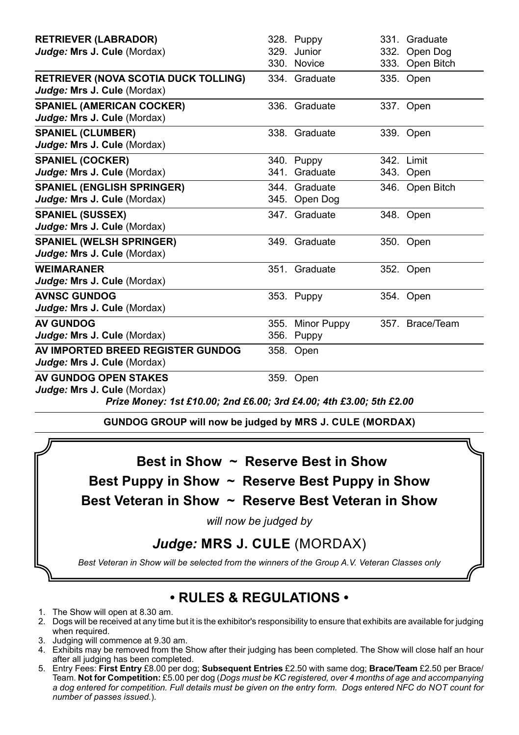| <b>RETRIEVER (LABRADOR)</b>                                                |      | 328. Puppy       | 331. Graduate   |
|----------------------------------------------------------------------------|------|------------------|-----------------|
| Judge: Mrs J. Cule (Mordax)                                                |      | 329. Junior      | 332. Open Dog   |
|                                                                            |      | 330. Novice      | 333. Open Bitch |
| <b>RETRIEVER (NOVA SCOTIA DUCK TOLLING)</b><br>Judge: Mrs J. Cule (Mordax) |      | 334. Graduate    | 335. Open       |
| <b>SPANIEL (AMERICAN COCKER)</b>                                           |      | 336. Graduate    | 337. Open       |
| Judge: Mrs J. Cule (Mordax)                                                |      |                  |                 |
| <b>SPANIEL (CLUMBER)</b>                                                   |      | 338. Graduate    | 339. Open       |
| Judge: Mrs J. Cule (Mordax)                                                |      |                  |                 |
| <b>SPANIEL (COCKER)</b>                                                    |      | 340. Puppy       | 342. Limit      |
| Judge: Mrs J. Cule (Mordax)                                                |      | 341. Graduate    | 343. Open       |
| <b>SPANIEL (ENGLISH SPRINGER)</b>                                          |      | 344 Graduate     | 346. Open Bitch |
| Judge: Mrs J. Cule (Mordax)                                                |      | 345. Open Dog    |                 |
| <b>SPANIEL (SUSSEX)</b>                                                    |      | 347. Graduate    | 348. Open       |
| Judge: Mrs J. Cule (Mordax)                                                |      |                  |                 |
| <b>SPANIEL (WELSH SPRINGER)</b>                                            |      | 349. Graduate    | 350. Open       |
| Judge: Mrs J. Cule (Mordax)                                                |      |                  |                 |
| <b>WEIMARANER</b>                                                          |      | 351. Graduate    | 352. Open       |
| Judge: Mrs J. Cule (Mordax)                                                |      |                  |                 |
| <b>AVNSC GUNDOG</b>                                                        |      | 353. Puppy       | 354. Open       |
| Judge: Mrs J. Cule (Mordax)                                                |      |                  |                 |
| <b>AV GUNDOG</b>                                                           |      | 355. Minor Puppy | 357. Brace/Team |
| Judge: Mrs J. Cule (Mordax)                                                |      | 356. Puppy       |                 |
| AV IMPORTED BREED REGISTER GUNDOG                                          |      | 358. Open        |                 |
| Judge: Mrs J. Cule (Mordax)                                                |      |                  |                 |
| AV GUNDOG OPEN STAKES                                                      | 359. | Open             |                 |
| Judge: Mrs J. Cule (Mordax)                                                |      |                  |                 |

*Prize Money: 1st £10.00; 2nd £6.00; 3rd £4.00; 4th £3.00; 5th £2.00*

**GUNDOG GROUP will now be judged by MRS J. CULE (MORDAX)**

**Best in Show ~ Reserve Best in Show**

**Best Puppy in Show ~ Reserve Best Puppy in Show**

**Best Veteran in Show ~ Reserve Best Veteran in Show**

*will now be judged by*

#### *Judge:* **MRS J. CULE** (MORDAX)

*Best Veteran in Show will be selected from the winners of the Group A.V. Veteran Classes only*

### **• RULES & REGULATIONS •**

- 
- 1. The Show will open at 8.30 am. 2. Dogs will be received at any time but it is the exhibitor's responsibility to ensure that exhibits are available for judging when required.
- 3. Judging will commence at 9.30 am.
- 4. Exhibits may be removed from the Show after their judging has been completed. The Show will close half an hour after all judging has been completed.
- 5. Entry Fees: **First Entry** £8.00 per dog; **Subsequent Entries** £2.50 with same dog; **Brace/Team** £2.50 per Brace/ Team. **Not for Competition:** £5.00 per dog (*Dogs must be KC registered, over 4 months of age and accompanying a dog entered for competition. Full details must be given on the entry form. Dogs entered NFC do NOT count for number of passes issued.*).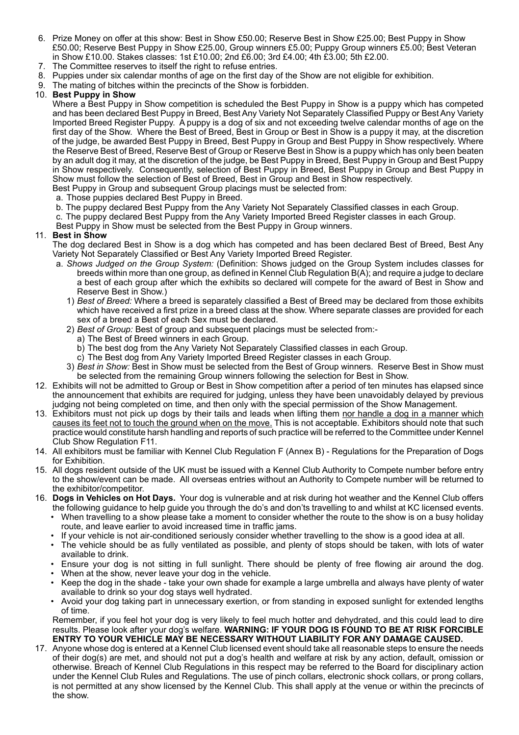- 6. Prize Money on offer at this show: Best in Show £50.00; Reserve Best in Show £25.00; Best Puppy in Show £50.00; Reserve Best Puppy in Show £25.00, Group winners £5.00; Puppy Group winners £5.00; Best Veteran in Show £10.00. Stakes classes: 1st £10.00; 2nd £6.00; 3rd £4.00; 4th £3.00; 5th £2.00.
- 7. The Committee reserves to itself the right to refuse entries.
- 8. Puppies under six calendar months of age on the first day of the Show are not eligible for exhibition.
- 9. The mating of bitches within the precincts of the Show is forbidden.

#### 10. **Best Puppy in Show**

Where a Best Puppy in Show competition is scheduled the Best Puppy in Show is a puppy which has competed and has been declared Best Puppy in Breed, Best Any Variety Not Separately Classified Puppy or Best Any Variety Imported Breed Register Puppy. A puppy is a dog of six and not exceeding twelve calendar months of age on the first day of the Show. Where the Best of Breed, Best in Group or Best in Show is a puppy it may, at the discretion of the judge, be awarded Best Puppy in Breed, Best Puppy in Group and Best Puppy in Show respectively. Where the Reserve Best of Breed, Reserve Best of Group or Reserve Best in Show is a puppy which has only been beaten by an adult dog it may, at the discretion of the judge, be Best Puppy in Breed, Best Puppy in Group and Best Puppy in Show respectively. Consequently, selection of Best Puppy in Breed, Best Puppy in Group and Best Puppy in Show must follow the selection of Best of Breed, Best in Group and Best in Show respectively. Best Puppy in Group and subsequent Group placings must be selected from:

- a. Those puppies declared Best Puppy in Breed.
- b. The puppy declared Best Puppy from the Any Variety Not Separately Classified classes in each Group.
- c. The puppy declared Best Puppy from the Any Variety Imported Breed Register classes in each Group.
- Best Puppy in Show must be selected from the Best Puppy in Group winners.

#### 11. **Best in Show**

The dog declared Best in Show is a dog which has competed and has been declared Best of Breed, Best Any Variety Not Separately Classified or Best Any Variety Imported Breed Register.

- a. *Shows Judged on the Group System:* (Definition: Shows judged on the Group System includes classes for breeds within more than one group, as defined in Kennel Club Regulation B(A); and require a judge to declare a best of each group after which the exhibits so declared will compete for the award of Best in Show and Reserve Best in Show.)
	- 1) *Best of Breed:* Where a breed is separately classified a Best of Breed may be declared from those exhibits which have received a first prize in a breed class at the show. Where separate classes are provided for each sex of a breed a Best of each Sex must be declared.
	- 2) *Best of Group:* Best of group and subsequent placings must be selected from:
		- a) The Best of Breed winners in each Group.
		- b) The best dog from the Any Variety Not Separately Classified classes in each Group.
		- c) The Best dog from Any Variety Imported Breed Register classes in each Group.
	- 3) *Best in Show:* Best in Show must be selected from the Best of Group winners. Reserve Best in Show must be selected from the remaining Group winners following the selection for Best in Show.
- 12. Exhibits will not be admitted to Group or Best in Show competition after a period of ten minutes has elapsed since the announcement that exhibits are required for judging, unless they have been unavoidably delayed by previous judging not being completed on time, and then only with the special permission of the Show Management.
- 13. Exhibitors must not pick up dogs by their tails and leads when lifting them nor handle a dog in a manner which causes its feet not to touch the ground when on the move. This is not acceptable. Exhibitors should note that such practice would constitute harsh handling and reports of such practice will be referred to the Committee under Kennel Club Show Regulation F11.
- 14. All exhibitors must be familiar with Kennel Club Regulation F (Annex B) Regulations for the Preparation of Dogs for Exhibition.
- 15. All dogs resident outside of the UK must be issued with a Kennel Club Authority to Compete number before entry to the show/event can be made. All overseas entries without an Authority to Compete number will be returned to the exhibitor/competitor.
- 16. **Dogs in Vehicles on Hot Days.** Your dog is vulnerable and at risk during hot weather and the Kennel Club offers the following guidance to help guide you through the do's and don'ts travelling to and whilst at KC licensed events.
	- When travelling to a show please take a moment to consider whether the route to the show is on a busy holiday route, and leave earlier to avoid increased time in traffic jams.
	- If your vehicle is not air-conditioned seriously consider whether travelling to the show is a good idea at all.
	- The vehicle should be as fully ventilated as possible, and plenty of stops should be taken, with lots of water available to drink.
	- Ensure your dog is not sitting in full sunlight. There should be plenty of free flowing air around the dog.
	- When at the show, never leave your dog in the vehicle.
	- Keep the dog in the shade take your own shade for example a large umbrella and always have plenty of water available to drink so your dog stays well hydrated.
	- Avoid your dog taking part in unnecessary exertion, or from standing in exposed sunlight for extended lengths of time.

Remember, if you feel hot your dog is very likely to feel much hotter and dehydrated, and this could lead to dire results. Please look after your dog's welfare. **WARNING: IF YOUR DOG IS FOUND TO BE AT RISK FORCIBLE ENTRY TO YOUR VEHICLE MAY BE NECESSARY WITHOUT LIABILITY FOR ANY DAMAGE CAUSED.**

17. Anyone whose dog is entered at a Kennel Club licensed event should take all reasonable steps to ensure the needs of their dog(s) are met, and should not put a dog's health and welfare at risk by any action, default, omission or otherwise. Breach of Kennel Club Regulations in this respect may be referred to the Board for disciplinary action under the Kennel Club Rules and Regulations. The use of pinch collars, electronic shock collars, or prong collars, is not permitted at any show licensed by the Kennel Club. This shall apply at the venue or within the precincts of the show.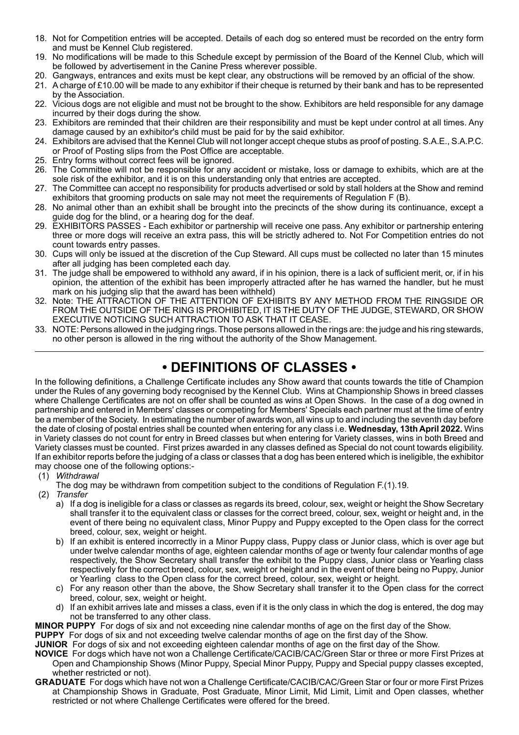- 18. Not for Competition entries will be accepted. Details of each dog so entered must be recorded on the entry form and must be Kennel Club registered.
- 19. No modifications will be made to this Schedule except by permission of the Board of the Kennel Club, which will be followed by advertisement in the Canine Press wherever possible.
- 20. Gangways, entrances and exits must be kept clear, any obstructions will be removed by an official of the show.
- 21. A charge of £10.00 will be made to any exhibitor if their cheque is returned by their bank and has to be represented by the Association.
- 22. Vicious dogs are not eligible and must not be brought to the show. Exhibitors are held responsible for any damage incurred by their dogs during the show.
- 23. Exhibitors are reminded that their children are their responsibility and must be kept under control at all times. Any damage caused by an exhibitor's child must be paid for by the said exhibitor.
- 24. Exhibitors are advised that the Kennel Club will not longer accept cheque stubs as proof of posting. S.A.E., S.A.P.C. or Proof of Posting slips from the Post Office are acceptable.
- 25. Entry forms without correct fees will be ignored.
- 26. The Committee will not be responsible for any accident or mistake, loss or damage to exhibits, which are at the sole risk of the exhibitor, and it is on this understanding only that entries are accepted.
- 27. The Committee can accept no responsibility for products advertised or sold by stall holders at the Show and remind exhibitors that grooming products on sale may not meet the requirements of Regulation F (B).
- 28. No animal other than an exhibit shall be brought into the precincts of the show during its continuance, except a guide dog for the blind, or a hearing dog for the deaf.
- 29. EXHIBITORS PASSES Each exhibitor or partnership will receive one pass. Any exhibitor or partnership entering three or more dogs will receive an extra pass, this will be strictly adhered to. Not For Competition entries do not count towards entry passes.
- 30. Cups will only be issued at the discretion of the Cup Steward. All cups must be collected no later than 15 minutes after all judging has been completed each day.
- 31. The judge shall be empowered to withhold any award, if in his opinion, there is a lack of sufficient merit, or, if in his opinion, the attention of the exhibit has been improperly attracted after he has warned the handler, but he must mark on his judging slip that the award has been withheld)
- 32. Note: THE ATTRACTION OF THE ATTENTION OF EXHIBITS BY ANY METHOD FROM THE RINGSIDE OR FROM THE OUTSIDE OF THE RING IS PROHIBITED, IT IS THE DUTY OF THE JUDGE, STEWARD, OR SHOW EXECUTIVE NOTICING SUCH ATTRACTION TO ASK THAT IT CEASE.
- 33. NOTE: Persons allowed in the judging rings. Those persons allowed in the rings are: the judge and his ring stewards, no other person is allowed in the ring without the authority of the Show Management.

#### **• DEFINITIONS OF CLASSES •**

In the following definitions, a Challenge Certificate includes any Show award that counts towards the title of Champion under the Rules of any governing body recognised by the Kennel Club. Wins at Championship Shows in breed classes where Challenge Certificates are not on offer shall be counted as wins at Open Shows. In the case of a dog owned in partnership and entered in Members' classes or competing for Members' Specials each partner must at the time of entry be a member of the Society. In estimating the number of awards won, all wins up to and including the seventh day before the date of closing of postal entries shall be counted when entering for any class i.e. **Wednesday, 13th April 2022.** Wins in Variety classes do not count for entry in Breed classes but when entering for Variety classes, wins in both Breed and Variety classes must be counted. First prizes awarded in any classes defined as Special do not count towards eligibility. If an exhibitor reports before the judging of a class or classes that a dog has been entered which is ineligible, the exhibitor may choose one of the following options:-

- (1) *Withdrawal*
	- The dog may be withdrawn from competition subject to the conditions of Regulation F.(1).19.
- (2) *Transfer*
	- a) If a dog is ineligible for a class or classes as regards its breed, colour, sex, weight or height the Show Secretary shall transfer it to the equivalent class or classes for the correct breed, colour, sex, weight or height and, in the event of there being no equivalent class, Minor Puppy and Puppy excepted to the Open class for the correct breed, colour, sex, weight or height.
	- b) If an exhibit is entered incorrectly in a Minor Puppy class, Puppy class or Junior class, which is over age but under twelve calendar months of age, eighteen calendar months of age or twenty four calendar months of age respectively, the Show Secretary shall transfer the exhibit to the Puppy class, Junior class or Yearling class respectively for the correct breed, colour, sex, weight or height and in the event of there being no Puppy, Junior or Yearling class to the Open class for the correct breed, colour, sex, weight or height.
	- c) For any reason other than the above, the Show Secretary shall transfer it to the Open class for the correct breed, colour, sex, weight or height.
	- d) If an exhibit arrives late and misses a class, even if it is the only class in which the dog is entered, the dog may not be transferred to any other class.
- **MINOR PUPPY** For dogs of six and not exceeding nine calendar months of age on the first day of the Show.

**PUPPY** For dogs of six and not exceeding twelve calendar months of age on the first day of the Show.

**JUNIOR** For dogs of six and not exceeding eighteen calendar months of age on the first day of the Show.

- **NOVICE** For dogs which have not won a Challenge Certificate/CACIB/CAC/Green Star or three or more First Prizes at Open and Championship Shows (Minor Puppy, Special Minor Puppy, Puppy and Special puppy classes excepted, whether restricted or not).
- **GRADUATE** For dogs which have not won a Challenge Certificate/CACIB/CAC/Green Star or four or more First Prizes at Championship Shows in Graduate, Post Graduate, Minor Limit, Mid Limit, Limit and Open classes, whether restricted or not where Challenge Certificates were offered for the breed.